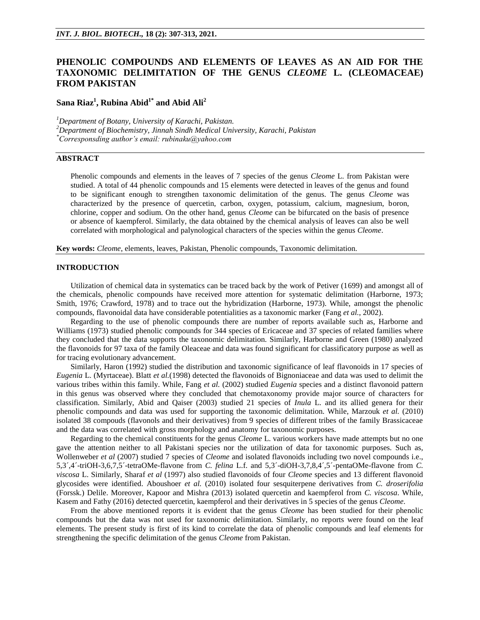# **PHENOLIC COMPOUNDS AND ELEMENTS OF LEAVES AS AN AID FOR THE TAXONOMIC DELIMITATION OF THE GENUS** *CLEOME* **L. (CLEOMACEAE) FROM PAKISTAN**

## **Sana Riaz<sup>1</sup> , Rubina Abid1\* and Abid Ali<sup>2</sup>**

*<sup>1</sup>Department of Botany, University of Karachi, Pakistan.*

*<sup>2</sup>Department of Biochemistry, Jinnah Sindh Medical University, Karachi, Pakistan \*Corresponsding author's email: rubinaku@yahoo.com*

## **ABSTRACT**

Phenolic compounds and elements in the leaves of 7 species of the genus *Cleome* L. from Pakistan were studied. A total of 44 phenolic compounds and 15 elements were detected in leaves of the genus and found to be significant enough to strengthen taxonomic delimitation of the genus. The genus *Cleome* was characterized by the presence of quercetin, carbon, oxygen, potassium, calcium, magnesium, boron, chlorine, copper and sodium. On the other hand, genus *Cleome* can be bifurcated on the basis of presence or absence of kaempferol. Similarly, the data obtained by the chemical analysis of leaves can also be well correlated with morphological and palynological characters of the species within the genus *Cleome*.

**Key words:** *Cleome*, elements, leaves, Pakistan, Phenolic compounds, Taxonomic delimitation.

### **INTRODUCTION**

Utilization of chemical data in systematics can be traced back by the work of Petiver (1699) and amongst all of the chemicals, phenolic compounds have received more attention for systematic delimitation (Harborne, 1973; Smith, 1976; Crawford, 1978) and to trace out the hybridization (Harborne, 1973). While, amongst the phenolic compounds, flavonoidal data have considerable potentialities as a taxonomic marker (Fang *et al.*, 2002).

Regarding to the use of phenolic compounds there are number of reports available such as, Harborne and Williams (1973) studied phenolic compounds for 344 species of Ericaceae and 37 species of related families where they concluded that the data supports the taxonomic delimitation. Similarly, Harborne and Green (1980) analyzed the flavonoids for 97 taxa of the family Oleaceae and data was found significant for classificatory purpose as well as for tracing evolutionary advancement.

Similarly, Haron (1992) studied the distribution and taxonomic significance of leaf flavonoids in 17 species of *Eugenia* L. (Myrtaceae). Blatt *et al.*(1998) detected the flavonoids of Bignoniaceae and data was used to delimit the various tribes within this family. While, Fang *et al.* (2002) studied *Eugenia* species and a distinct flavonoid pattern in this genus was observed where they concluded that chemotaxonomy provide major source of characters for classification. Similarly, Abid and Qaiser (2003) studied 21 species of *Inula* L. and its allied genera for their phenolic compounds and data was used for supporting the taxonomic delimitation. While, Marzouk *et al.* (2010) isolated 38 compouds (flavonols and their derivatives) from 9 species of different tribes of the family Brassicaceae and the data was correlated with gross morphology and anatomy for taxonomic purposes.

Regarding to the chemical constituents for the genus *Cleome* L. various workers have made attempts but no one gave the attention neither to all Pakistani species nor the utilization of data for taxonomic purposes. Such as, Wollenweber *et al* (2007) studied 7 species of *Cleome* and isolated flavonoids including two novel compounds i.e., 5,3´,4´-triOH-3,6,7,5´-tetraOMe-flavone from *C. felina* L.f. and 5,3´-diOH-3,7,8,4´,5´-pentaOMe-flavone from *C. viscosa* L. Similarly, Sharaf *et al* (1997) also studied flavonoids of four *Cleome* species and 13 different flavonoid glycosides were identified. Aboushoer *et al.* (2010) isolated four sesquiterpene derivatives from *C. droserifolia* (Forssk.) Delile. Moreover, Kapoor and Mishra (2013) isolated quercetin and kaempferol from *C. viscosa*. While, Kasem and Fathy (2016) detected quercetin, kaempferol and their derivatives in 5 species of the genus *Cleome*.

From the above mentioned reports it is evident that the genus *Cleome* has been studied for their phenolic compounds but the data was not used for taxonomic delimitation. Similarly, no reports were found on the leaf elements. The present study is first of its kind to correlate the data of phenolic compounds and leaf elements for strengthening the specific delimitation of the genus *Cleome* from Pakistan.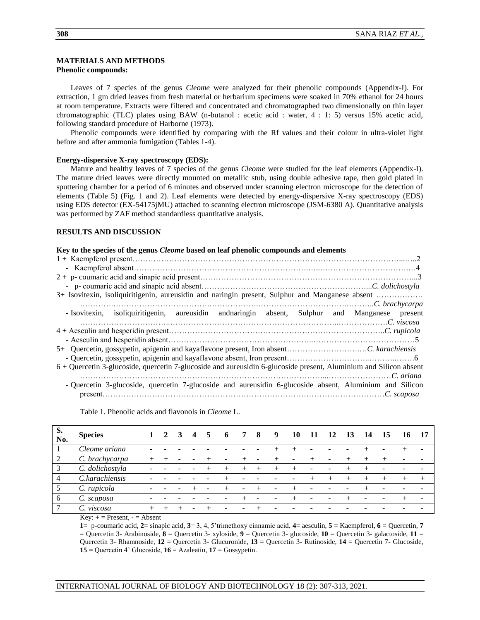## **MATERIALS AND METHODS**

## **Phenolic compounds:**

Leaves of 7 species of the genus *Cleome* were analyzed for their phenolic compounds (Appendix-I). For extraction, 1 gm dried leaves from fresh material or herbarium specimens were soaked in 70% ethanol for 24 hours at room temperature. Extracts were filtered and concentrated and chromatographed two dimensionally on thin layer chromatographic (TLC) plates using BAW (n-butanol : acetic acid : water, 4 : 1: 5) versus 15% acetic acid, following standard procedure of Harborne (1973).

Phenolic compounds were identified by comparing with the Rf values and their colour in ultra-violet light before and after ammonia fumigation (Tables 1-4).

### **Energy-dispersive X-ray spectroscopy (EDS):**

Mature and healthy leaves of 7 species of the genus *Cleome* were studied for the leaf elements (Appendix-I). The mature dried leaves were directly mounted on metallic stub, using double adhesive tape, then gold plated in sputtering chamber for a period of 6 minutes and observed under scanning electron microscope for the detection of elements (Table 5) (Fig. 1 and 2). Leaf elements were detected by energy-dispersive X-ray spectroscopy (EDS) using EDS detector (EX-54175jMU) attached to scanning electron microscope (JSM-6380 A). Quantitative analysis was performed by ZAF method standardless quantitative analysis.

## **RESULTS AND DISCUSSION**

#### **Key to the species of the genus** *Cleome* **based on leaf phenolic compounds and elements**

| 3+ Isovitexin, isoliquiritigenin, aureusidin and naringin present, Sulphur and Manganese absent                   |  |  |  |  |  |  |  |  |
|-------------------------------------------------------------------------------------------------------------------|--|--|--|--|--|--|--|--|
|                                                                                                                   |  |  |  |  |  |  |  |  |
| - Isovitexin, isoliquiritigenin, aureusidin andnaringin absent, Sulphur and Manganese present                     |  |  |  |  |  |  |  |  |
|                                                                                                                   |  |  |  |  |  |  |  |  |
|                                                                                                                   |  |  |  |  |  |  |  |  |
|                                                                                                                   |  |  |  |  |  |  |  |  |
|                                                                                                                   |  |  |  |  |  |  |  |  |
|                                                                                                                   |  |  |  |  |  |  |  |  |
| 6 + Quercetin 3-glucoside, quercetin 7-glucoside and aureusidin 6-glucoside present, Aluminium and Silicon absent |  |  |  |  |  |  |  |  |
|                                                                                                                   |  |  |  |  |  |  |  |  |
| - Quercetin 3-glucoside, quercetin 7-glucoside and aureusidin 6-glucoside absent, Aluminium and Silicon           |  |  |  |  |  |  |  |  |
|                                                                                                                   |  |  |  |  |  |  |  |  |

Table 1. Phenolic acids and flavonols in *Cleome* L.

| S.<br>No.      | <b>Species</b>  |       | 2 | 3 | 4 | 5    | $\mathbf b$ | 7                        | 8 | 9                        | 10 | 11 | 12                       | 13   | 14    | 15 | 16 | - 17                     |
|----------------|-----------------|-------|---|---|---|------|-------------|--------------------------|---|--------------------------|----|----|--------------------------|------|-------|----|----|--------------------------|
|                | Cleome ariana   |       |   |   |   |      |             |                          |   |                          |    |    |                          |      |       |    |    |                          |
| 2              | C. brachycarpa  |       |   |   |   |      |             |                          |   |                          | -  |    |                          |      |       |    |    |                          |
| 3              | C. dolichostyla |       |   |   |   | $^+$ |             |                          |   |                          |    |    | $\overline{\phantom{0}}$ | $^+$ |       |    |    | $\overline{\phantom{a}}$ |
| $\overline{4}$ | C.karachiensis  |       |   |   |   |      |             |                          |   |                          |    |    | $^{+}$                   | $^+$ | $\pm$ |    |    | $^+$                     |
| 5              | C. rupicola     |       |   |   |   | ۰    |             | $\overline{\phantom{a}}$ |   | $\overline{\phantom{a}}$ |    |    |                          |      |       |    |    |                          |
| 6              | C. scaposa      |       |   |   |   |      |             |                          |   |                          |    |    |                          |      |       |    |    | $\overline{\phantom{0}}$ |
|                | viscosa         | $\pm$ |   |   |   |      |             | ۰                        |   |                          |    |    |                          |      |       |    |    |                          |

 $Key: + = Present, - = Absent$ 

**1**= p-coumaric acid, **2**= sinapic acid, **3**= 3, 4, 5'trimethoxy cinnamic acid, **4**= aesculin, **5** = Kaempferol, **6** = Quercetin, **7** = Quercetin 3- Arabinoside, **8** = Quercetin 3- xyloside, **9** = Quercetin 3- glucoside, **10** = Quercetin 3- galactoside, **11** = Quercetin 3- Rhamnoside, **12** = Quercetin 3- Glucuronide, **13** = Quercetin 3- Rutinoside, **14** = Quercetin 7- Glucoside, **15** = Quercetin 4' Glucoside, **16** = Azaleatin, **17** = Gossypetin.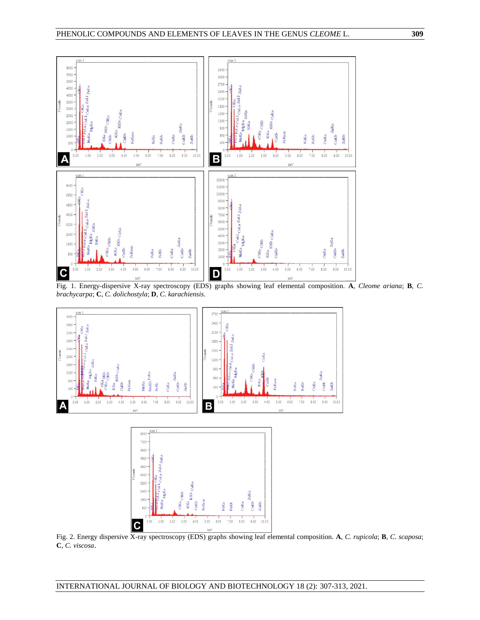

Fig. 1. Energy-dispersive X-ray spectroscopy (EDS) graphs showing leaf elemental composition. **A**, *Cleome ariana*; **B**, *C. brachycarpa*; **C**, *C. dolichostyla*; **D**, *C. karachiensis*.



Fig. 2. Energy dispersive X-ray spectroscopy (EDS) graphs showing leaf elemental composition. **A**, *C. rupicola*; **B**, *C. scaposa*; **C**, *C. viscosa*.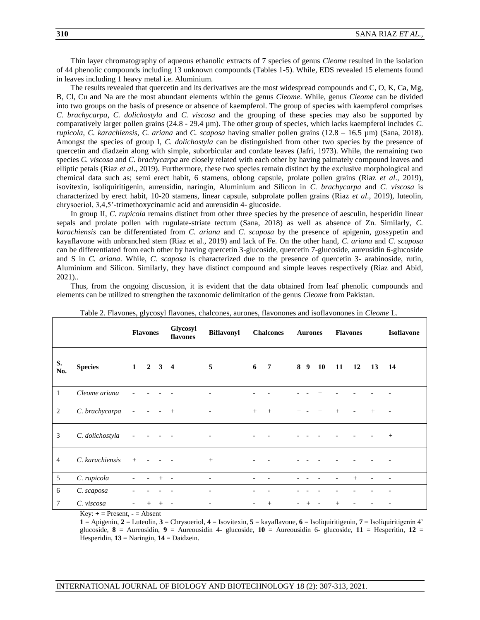Thin layer chromatography of aqueous ethanolic extracts of 7 species of genus *Cleome* resulted in the isolation of 44 phenolic compounds including 13 unknown compounds (Tables 1-5). While, EDS revealed 15 elements found in leaves including 1 heavy metal i.e. Aluminium.

The results revealed that quercetin and its derivatives are the most widespread compounds and C, O, K, Ca, Mg, B, Cl, Cu and Na are the most abundant elements within the genus *Cleome*. While, genus *Cleome* can be divided into two groups on the basis of presence or absence of kaempferol. The group of species with kaempferol comprises *C. brachycarpa*, *C. dolichostyla* and *C. viscosa* and the grouping of these species may also be supported by comparatively larger pollen grains (24.8 - 29.4 µm). The other group of species, which lacks kaempferol includes *C. rupicola*, *C. karachiensis*, *C. ariana* and *C. scaposa* having smaller pollen grains (12.8 – 16.5 µm) (Sana, 2018). Amongst the species of group I, *C. dolichostyla* can be distinguished from other two species by the presence of quercetin and diadzein along with simple, suborbicular and cordate leaves (Jafri, 1973). While, the remaining two species *C. viscosa* and *C. brachycarpa* are closely related with each other by having palmately compound leaves and elliptic petals (Riaz *et al*., 2019). Furthermore, these two species remain distinct by the exclusive morphological and chemical data such as; semi erect habit, 6 stamens, oblong capsule, prolate pollen grains (Riaz *et al*., 2019), isovitexin, isoliquiritigenin, aureusidin, naringin, Aluminium and Silicon in *C. brachycarpa* and *C. viscosa* is characterized by erect habit, 10-20 stamens, linear capsule, subprolate pollen grains (Riaz *et al*., 2019), luteolin, chrysoeriol, 3,4,5'-trimethoxycinamic acid and aureusidin 4- glucoside.

In group II, *C. rupicola* remains distinct from other three species by the presence of aesculin, hesperidin linear sepals and prolate pollen with rugulate-striate tectum (Sana, 2018) as well as absence of Zn. Similarly, *C. karachiensis* can be differentiated from *C. ariana* and *C. scaposa* by the presence of apigenin, gossypetin and kayaflavone with unbranched stem (Riaz et al., 2019) and lack of Fe. On the other hand, *C. ariana* and *C. scaposa* can be differentiated from each other by having quercetin 3-glucoside, quercetin 7-glucoside, aureusidin 6-glucoside and S in *C. ariana*. While, *C. scaposa* is characterized due to the presence of quercetin 3- arabinoside, rutin, Aluminium and Silicon. Similarly, they have distinct compound and simple leaves respectively (Riaz and Abid, 2021)..

Thus, from the ongoing discussion, it is evident that the data obtained from leaf phenolic compounds and elements can be utilized to strengthen the taxonomic delimitation of the genus *Cleome* from Pakistan.

|                |                 | <b>Flavones</b>          |                             |      | Glycosyl<br>flavones     | <b>Biflavonyl</b>            | <b>Chalcones</b>         |                 | <b>Aurones</b> |                          |           | <b>Flavones</b> |                          |     | <b>Isoflavone</b>        |  |
|----------------|-----------------|--------------------------|-----------------------------|------|--------------------------|------------------------------|--------------------------|-----------------|----------------|--------------------------|-----------|-----------------|--------------------------|-----|--------------------------|--|
| S.<br>No.      | <b>Species</b>  |                          | $1 \quad 2 \quad 3 \quad 4$ |      |                          | 5                            | 6                        | $7\phantom{.0}$ |                | 8 <sub>9</sub>           | <b>10</b> | <b>11</b>       | 12                       | 13  | 14                       |  |
| 1              | Cleome ariana   |                          |                             |      |                          |                              |                          |                 |                |                          | $^+$      |                 |                          |     |                          |  |
| 2              | C. brachycarpa  | $\overline{\phantom{a}}$ | $\sim$ $ \sim$              |      | $+$                      | $\overline{\phantom{a}}$     | $\qquad \qquad +$        | $+$             | $^{+}$         | $\overline{\phantom{a}}$ | $+$       | $+$             | $\overline{\phantom{0}}$ | $+$ | $\overline{\phantom{a}}$ |  |
| 3              | C. dolichostyla |                          |                             |      |                          | $\overline{\phantom{a}}$     |                          |                 |                |                          |           |                 |                          |     | $^{+}$                   |  |
| $\overline{4}$ | C. karachiensis | $+$                      |                             |      |                          | $\qquad \qquad +$            |                          |                 |                |                          |           |                 |                          |     |                          |  |
| 5              | C. rupicola     |                          |                             | $+$  | $\overline{\phantom{a}}$ | $\qquad \qquad \blacksquare$ |                          |                 |                |                          |           |                 | $+$                      |     |                          |  |
| 6              | C. scaposa      |                          |                             |      |                          | $\overline{\phantom{a}}$     |                          |                 |                |                          |           |                 |                          |     |                          |  |
| 7              | C. viscosa      | -                        | $^+$                        | $^+$ |                          | $\overline{\phantom{a}}$     | $\overline{\phantom{a}}$ | $^{+}$          |                |                          |           | $^{+}$          |                          |     |                          |  |

Table 2. Flavones, glycosyl flavones, chalcones, aurones, flavonones and isoflavonones in *Cleome* L.

 $Key: + = Present, - = Absent$ 

**1** = Apigenin, **2** = Luteolin, **3** = Chrysoeriol, **4** = Isovitexin, **5** = kayaflavone, **6** = Isoliquiritigenin, **7** = Isoliquiritigenin 4' glucoside,  $\mathbf{8}$  = Aureosidin,  $\mathbf{9}$  = Aureousidin 4- glucoside,  $\mathbf{10}$  = Aureousidin 6- glucoside,  $\mathbf{11}$  = Hesperitin,  $\mathbf{12}$  = Hesperidin, **13** = Naringin, **14** = Daidzein.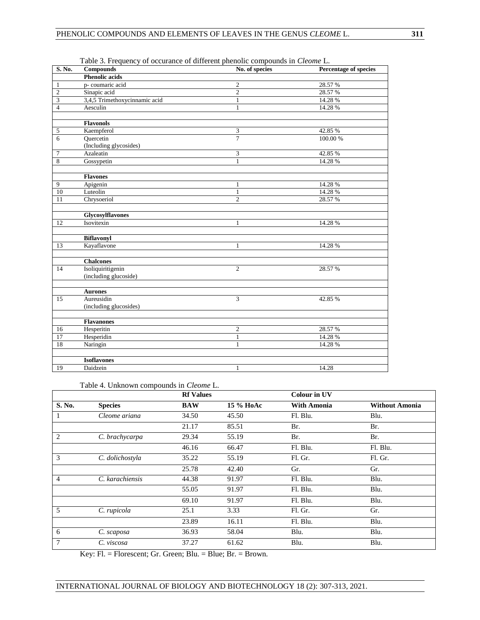| S. No.         | Compounds                     | No. of species | Percentage of species |
|----------------|-------------------------------|----------------|-----------------------|
|                | <b>Phenolic acids</b>         |                |                       |
| 1              | p-coumaric acid               | $\overline{c}$ | 28.57 %               |
| $\overline{2}$ | Sinapic acid                  | $\overline{2}$ | 28.57 %               |
| 3              | 3,4,5 Trimethoxycinnamic acid | $\mathbf{1}$   | 14.28 %               |
| $\overline{4}$ | Aesculin                      | 1              | 14.28 %               |
|                |                               |                |                       |
|                | <b>Flavonols</b>              |                |                       |
| 5              | Kaempferol                    | 3              | 42.85%                |
| 6              | Quercetin                     | $\overline{7}$ | 100.00 %              |
|                | (Including glycosides)        |                |                       |
| 7              | Azaleatin                     | 3              | 42.85 %               |
| 8              | Gossypetin                    | 1              | 14.28 %               |
|                |                               |                |                       |
|                | <b>Flavones</b>               |                |                       |
| 9              | Apigenin                      | 1              | 14.28 %               |
| 10             | Luteolin                      | $\mathbf{1}$   | 14.28 %               |
| 11             | Chrysoeriol                   | $\overline{c}$ | 28.57 %               |
|                | Glycosylflavones              |                |                       |
| 12             | Isovitexin                    | 1              | 14.28 %               |
|                |                               |                |                       |
|                | <b>Biflavonyl</b>             |                |                       |
| 13             | Kayaflavone                   | 1              | 14.28 %               |
|                | <b>Chalcones</b>              |                |                       |
| 14             | Isoliquiritigenin             | $\overline{c}$ | 28.57%                |
|                | (including glucoside)         |                |                       |
|                | <b>Aurones</b>                |                |                       |
| 15             | Aureusidin                    | 3              | 42.85%                |
|                | (including glucosides)        |                |                       |
|                |                               |                |                       |
|                | <b>Flavanones</b>             |                |                       |
| 16             | Hesperitin                    | $\overline{c}$ | 28.57 %               |
| 17             | Hesperidin                    | $\mathbf{1}$   | 14.28 %               |
| 18             | Naringin                      | 1              | 14.28 %               |
|                |                               |                |                       |
|                | <b>Isoflavones</b>            |                |                       |
| 19             | Daidzein                      | $\mathbf{1}$   | 14.28                 |

Table 3. Frequency of occurance of different phenolic compounds in *Cleome* L.

## Table 4. Unknown compounds in *Cleome* L.

|                |                 | <b>Rf Values</b> |           | <b>Colour in UV</b> |                       |
|----------------|-----------------|------------------|-----------|---------------------|-----------------------|
| S. No.         | <b>Species</b>  | <b>BAW</b>       | 15 % НоАс | <b>With Amonia</b>  | <b>Without Amonia</b> |
| 1              | Cleome ariana   | 34.50            | 45.50     | Fl. Blu.            | Blu.                  |
|                |                 | 21.17            | 85.51     | Br.                 | Br.                   |
| $\overline{2}$ | C. brachycarpa  | 29.34            | 55.19     | Br.                 | Br.                   |
|                |                 | 46.16            | 66.47     | Fl. Blu.            | Fl. Blu.              |
| 3              | C. dolichostyla | 35.22            | 55.19     | Fl. Gr.             | Fl. Gr.               |
|                |                 | 25.78            | 42.40     | Gr.                 | Gr.                   |
| $\overline{4}$ | C. karachiensis | 44.38            | 91.97     | Fl. Blu.            | Blu.                  |
|                |                 | 55.05            | 91.97     | Fl. Blu.            | Blu.                  |
|                |                 | 69.10            | 91.97     | Fl. Blu.            | Blu.                  |
| 5              | C. rupicola     | 25.1             | 3.33      | Fl. Gr.             | Gr.                   |
|                |                 | 23.89            | 16.11     | Fl. Blu.            | Blu.                  |
| 6              | C. scaposa      | 36.93            | 58.04     | Blu.                | Blu.                  |
| 7              | C. viscosa      | 37.27            | 61.62     | Blu.                | Blu.                  |

Key: Fl. = Florescent; Gr. Green; Blu. = Blue; Br. = Brown.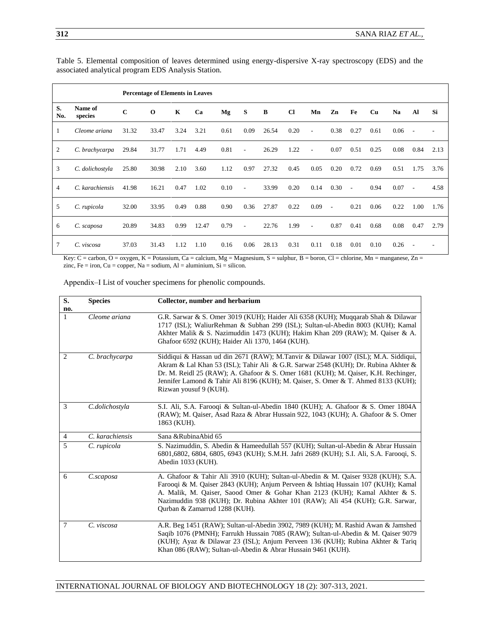|           |                    |             | <b>Percentage of Elements in Leaves</b> |             |       |      |                          |       |           |      |      |        |           |           |                          |      |
|-----------|--------------------|-------------|-----------------------------------------|-------------|-------|------|--------------------------|-------|-----------|------|------|--------|-----------|-----------|--------------------------|------|
| S.<br>No. | Name of<br>species | $\mathbf C$ | $\mathbf 0$                             | $\mathbf K$ | Ca    | Mg   | S                        | B     | <b>Cl</b> | Mn   | Zn   | Fe     | <b>Cu</b> | <b>Na</b> | Al                       | Si   |
| 1         | Cleome ariana      | 31.32       | 33.47                                   | 3.24        | 3.21  | 0.61 | 0.09                     | 26.54 | 0.20      | ٠    | 0.38 | 0.27   | 0.61      | 0.06      |                          |      |
| 2         | C. brachycarpa     | 29.84       | 31.77                                   | 1.71        | 4.49  | 0.81 | $\overline{\phantom{a}}$ | 26.29 | 1.22      |      | 0.07 | 0.51   | 0.25      | 0.08      | 0.84                     | 2.13 |
| 3         | C. dolichostyla    | 25.80       | 30.98                                   | 2.10        | 3.60  | 1.12 | 0.97                     | 27.32 | 0.45      | 0.05 | 0.20 | 0.72   | 0.69      | 0.51      | 1.75                     | 3.76 |
| 4         | C. karachiensis    | 41.98       | 16.21                                   | 0.47        | 1.02  | 0.10 | $\overline{\phantom{a}}$ | 33.99 | 0.20      | 0.14 | 0.30 | $\sim$ | 0.94      | 0.07      | $\sim$                   | 4.58 |
| 5         | C. rupicola        | 32.00       | 33.95                                   | 0.49        | 0.88  | 0.90 | 0.36                     | 27.87 | 0.22      | 0.09 | ÷,   | 0.21   | 0.06      | 0.22      | 1.00                     | 1.76 |
| 6         | C. scaposa         | 20.89       | 34.83                                   | 0.99        | 12.47 | 0.79 | ÷,                       | 22.76 | 1.99      | ٠    | 0.87 | 0.41   | 0.68      | 0.08      | 0.47                     | 2.79 |
| 7         | C. viscosa         | 37.03       | 31.43                                   | 1.12        | 1.10  | 0.16 | 0.06                     | 28.13 | 0.31      | 0.11 | 0.18 | 0.01   | 0.10      | 0.26      | $\overline{\phantom{a}}$ |      |

Table 5. Elemental composition of leaves determined using energy-dispersive X-ray spectroscopy (EDS) and the associated analytical program EDS Analysis Station.

Key: C = carbon, O = oxygen, K = Potassium, Ca = calcium, Mg = Magnesium, S = sulphur, B = boron, Cl = chlorine, Mn = manganese, Zn = zinc, Fe = iron, Cu = copper, Na = sodium, Al = aluminium, Si = silicon.

Appendix‒I List of voucher specimens for phenolic compounds.

| S.                  | <b>Species</b>  | Collector, number and herbarium                                                                                                                                                                                                                                                                                                                                               |
|---------------------|-----------------|-------------------------------------------------------------------------------------------------------------------------------------------------------------------------------------------------------------------------------------------------------------------------------------------------------------------------------------------------------------------------------|
| no.<br>$\mathbf{1}$ | Cleome ariana   | G.R. Sarwar & S. Omer 3019 (KUH); Haider Ali 6358 (KUH); Muggarab Shah & Dilawar<br>1717 (ISL); WaliurRehman & Subhan 299 (ISL); Sultan-ul-Abedin 8003 (KUH); Kamal<br>Akhter Malik & S. Nazimuddin 1473 (KUH); Hakim Khan 209 (RAW); M. Qaiser & A.<br>Ghafoor 6592 (KUH); Haider Ali 1370, 1464 (KUH).                                                                      |
| 2                   | C. brachycarpa  | Siddiqui & Hassan ud din 2671 (RAW); M.Tanvir & Dilawar 1007 (ISL); M.A. Siddiqui,<br>Akram & Lal Khan 53 (ISL); Tahir Ali & G.R. Sarwar 2548 (KUH); Dr. Rubina Akhter &<br>Dr. M. Reidl 25 (RAW); A. Ghafoor & S. Omer 1681 (KUH); M. Qaiser, K.H. Rechinger,<br>Jennifer Lamond & Tahir Ali 8196 (KUH); M. Qaiser, S. Omer & T. Ahmed 8133 (KUH);<br>Rizwan yousuf 9 (KUH). |
| 3                   | C.dolichostyla  | S.I. Ali, S.A. Farooqi & Sultan-ul-Abedin 1840 (KUH); A. Ghafoor & S. Omer 1804A<br>(RAW); M. Qaiser, Asad Raza & Abrar Hussain 922, 1043 (KUH); A. Ghafoor & S. Omer<br>1863 (KUH).                                                                                                                                                                                          |
| 4                   | C. karachiensis | Sana & Rubina Abid 65                                                                                                                                                                                                                                                                                                                                                         |
| 5                   | C. rupicola     | S. Nazimuddin, S. Abedin & Hameedullah 557 (KUH); Sultan-ul-Abedin & Abrar Hussain<br>6801,6802, 6804, 6805, 6943 (KUH); S.M.H. Jafri 2689 (KUH); S.I. Ali, S.A. Farooqi, S.<br>Abedin 1033 (KUH).                                                                                                                                                                            |
| 6                   | C.scaposa       | A. Ghafoor & Tahir Ali 3910 (KUH); Sultan-ul-Abedin & M. Qaiser 9328 (KUH); S.A.<br>Farooqi & M. Qaiser 2843 (KUH); Anjum Perveen & Ishtiaq Hussain 107 (KUH); Kamal<br>A. Malik, M. Qaiser, Saood Omer & Gohar Khan 2123 (KUH); Kamal Akhter & S.<br>Nazimuddin 938 (KUH); Dr. Rubina Akhter 101 (RAW); Ali 454 (KUH); G.R. Sarwar,<br>Qurban & Zamarrud 1288 (KUH).         |
| 7                   | C. viscosa      | A.R. Beg 1451 (RAW); Sultan-ul-Abedin 3902, 7989 (KUH); M. Rashid Awan & Jamshed<br>Saqib 1076 (PMNH); Farrukh Hussain 7085 (RAW); Sultan-ul-Abedin & M. Qaiser 9079<br>(KUH); Ayaz & Dilawar 23 (ISL); Anjum Perveen 136 (KUH); Rubina Akhter & Tariq<br>Khan 086 (RAW); Sultan-ul-Abedin & Abrar Hussain 9461 (KUH).                                                        |